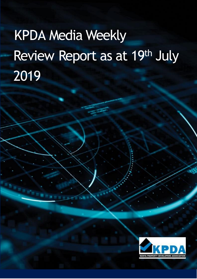# KPDA Media Weekly Review Report as at 19th July 2019

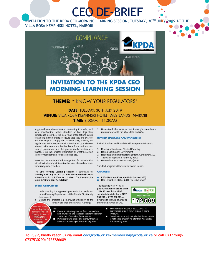## CEO DE-BRIEF

**INVITATION TO THE KPDA CEO MORNING LEARNING SESSION, TUESDAY, 30TH JULY 2019 AT THE VILLA ROSA KEMPINSKI HOTEL, NAIROBI**



### **INVITATION TO THE KPDA CEO MORNING LEARNING SESSION**

#### **THEME:** "'KNOW YOUR REGULATORS"

DATE: TUESDAY, 30TH JULY 2019 **VENUE:** VILLA ROSA KEMPINSKI HOTEL, WESTLANDS - NAIROBI **TIME:** 8.00AM - 11.30AM

In general, compliance means conforming to a rule, such as a specification, policy, standard or law. Regulatory compliance describes the goal that organizations aspire to achieve in their efforts to ensure that they are aware of and take steps to comply with relevant laws, policies, and regulations. In the Kenyan construction industry, businesses interact with numerous bodies both from national and county government and the general public sentiment is that there is a lack of clear information on what the correct statutory requirements for construction are.

Based on the above, KPDA has organized for a forum that will allow for in-depth interaction between the audience and various regulatory bodies.

The CEO Morning Learning Session is scheduled for Tuesday 30th July 2019 at the Villa Rosa Kempinski Hotel in Westlands from 8.00am to 11.30am. The theme of the forum is "Know Your Regulator."

#### **EVENT OBJECTIVES:**

awarded CPD

points.

- 1. Understanding the approvals process in the Lands and Urban Planning Departments at the Nairobi City County Government:
- $2.$ Discuss the progress on improving efficiency at the Ministry of Lands and Physical Planning;
- ers of the rd of Registratio N<sub>R</sub> Please note that registration fees once paid are П for Architects and non-refundable and cannot be transferred to cater Quantity Surveyors<br>(BORAQS) will
	- for the cost of attending future events.<br>Participants who attend this event without an п
	- RSVP will be surcharged at the door by 50%.

3. Understand the construction industry's compliance requirements with the NCA, NEMA and WRA.

#### **INVITED SPEAKERS AND PANELISTS:**

Invited Speakers and Panelists will be representatives of:

- Ministry of Lands and Physical Planning  $1.$
- $2.$ Nairobi City County Government
- National Environmental Management Authority (NEMA)  $\overline{3}$ .
- The Water Regulatory Authority (WRA)  $4.$
- 5. National Construction Authority (NCA)

The draft program will be availed in due course.

#### **CHARGES:**

- ٠ KPDA Members: Kshs. 4,640 (inclusive of VAT)
- Non Members: Kshs. 6,380 (inclusive of VAT) п

The deadline to RSVP (with payment) is WEDNESDAY 24TH JULY 2019 with the KPDA secretariat on telephone 0737 530 290 or 0725 286 689 or by email to ceo@kpda.or.ke or membership@kpda.or.ke.



NON MEMBERS WILL NOT BE ALLOWED TO п PARTICIPATE IN THIS EVENT WITHOUT PRIOR PAYMENT.

Cancellations are only refundable if the secretariat<br>is notified on email by no later than Wednesday, п 20th February 2019.

To RSVP, kindly reach us via email [ceo@kpda.or.ke](mailto:ceo@kpda.or.ke)[/membership@kpda.or.ke](mailto:membership@kpda.or.ke) or call us through 0737530290/0725286689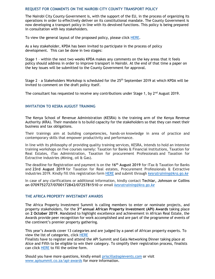#### **REQUEST FOR COMMENTS ON THE NAIROBI CITY COUNTY TRANSPORT POLICY**

The Nairobi City County Government is, with the support of the EU, in the process of organizing its operations in order to effectively deliver on its constitutional mandate. The County Government is now developing a transport policy in line with its devolved functions. This policy is being prepared in consultation with key stakeholders.

To view the general layout of the proposed policy, please click [HERE.](../../../Desktop/NCCG%20Transport%20Policy%20-%20Table%20of%20Contents.docx)

As a key stakeholder, KPDA has been invited to participate in the process of policy development. This can be done in two stages:

Stage 1 – within the next two weeks KPDA makes any comments on the key areas that it feels policy should address in order to improve transport in Nairobi. At the end of that time a paper on the key issues will be submitted to the County Government for approval.

Stage 2 - a Stakeholders Workshop is scheduled for the 25<sup>th</sup> September 2019 at which KPDA will be invited to comment on the draft policy itself.

The consultant has requested to receive any contributions under Stage 1, by 2<sup>nd</sup> August 2019.

#### **INVITATION TO KESRA AUGUST TRAINING**

The Kenya School of Revenue Administration (KESRA) is the training arm of the Kenya Revenue Authority (KRA). Their mandate is to build capacity for the stakeholders so that they can meet their business and tax obligations.

Their trainings aim at building competencies, hands-on knowledge in area of practice and contemporary skills that empower productivity and performance.

In line with its philosophy of providing quality training services, KESRA, intends to hold an intensive training workshops on five courses namely: Taxation for Banks & Financial Institutions, Taxation for Real Estates, iTax Administration, Taxation for procurement Professionals and Taxation for Extractive industries (Mining, oil & Gas).

The deadline for Registration and payment is on the **16th August 2019** for iTax & Taxation for Banks and **23rd August 2019** for Taxation for Real estates, Procurement Professionals & Extractive industries 2019. Kindly fill this registration form [HERE](../../../Desktop/REGISTRATION%20FORM.docx) and submit through *[kesratraining@kra.go.ke](mailto:kesratraining@kra.go.ke)*

In case of any clarifications or additional information, kindly contact **Techlar, Johnson or Collins on 0709752727/0700172842/0725781510** or email *[kesratraining@kra.go.ke](mailto:kesratraining@kra.go.ke)*

#### **THE AFRICA PROPERTY INVESTMENT AWARDS**

The Africa Property Investment Summit is calling members to enter or nominate projects, and property stakeholders, for the 3<sup>rd</sup> annual African Property Investment (API) Awards taking place on **2 October 2019**. Mandated to highlight excellence and achievement in African Real Estate, the Awards provide peer recognition for work accomplished and are part of the programme of events of the continent's premier property gathering.

This year's Awards cover 13 categories and are judged by a panel of African property experts. To view the list of categories, click [HERE](http://www.apisummit.co.za/api-awards)

Finalists have to register and attend the API Summit and Gala Networking Dinner taking place at Alice and Fifth to be eligible to win their category. To simplify their registration process, finalists can click [HERE](https://docs.google.com/forms/d/e/1FAIpQLSfkjGJqDR7dIu77D_Ix3hQ_AXLvVytDXRKFDdGYOdiuY9fXhQ/viewform) to fill the online form.

Should you have more questions, kindly email [priscilla@apievents.com](mailto:priscilla@apievents.com) or visit [www.apisummit.co.za/api-awards](http://www.apisummit.co.za/api-awards) for more information.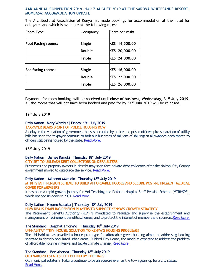#### **AAK ANNUAL CONVENTION 2019, 14-17 AUGUST 2019 AT THE SAROVA WHITESANDS RESORT, MOMBASA: ACCOMMODATION UPDATE**

The Architectural Association of Kenya has made bookings for accommodation at the hotel for delegates and which is available at the following rates:

| Room Type                 | Occupancy     | Rates per night |
|---------------------------|---------------|-----------------|
| <b>Pool Facing rooms:</b> | <b>Single</b> | KES 14,500.00   |
|                           | Double        | KES 20,000.00   |
|                           | <b>Triple</b> | KES 24,000.00   |
| Sea facing rooms:         | Single        | KES 16,000.00   |
|                           | <b>Double</b> | KES 22,000.00   |
|                           | Triple        | KES 26,000.00   |

Payments for room bookings will be received until **close of business, Wednesday, 31st July 2019**. All the rooms that will not have been booked and paid for by **31st July 2019** will be released.

#### **19th July 2019**

#### **Daily Nation |Mary Wambui| Friday 19th July 2019**

#### **TAXPAYER BEARS BRUNT OF POLICE HOUSING ROW**

A delay in the valuation of government houses occupied by police and prison officers plus separation of utility bills has seen the taxpayer continue to fork out hundreds of millions of shillings in allowances each month to officers still being housed by the state[. Read More.](https://www.nation.co.ke/news/Taxpayer-bears-brunt-of-police-housing-row/1056-5201834-md6xlf/index.html)

#### **18th July 2019**

#### **Daily Nation | James Kariuki| Thursday 18th July 2019**

#### **CITY SET TO UNLEASH DEBT COLLECTORS ON DEFAULTERS**

Businesses and property owners in Nairobi may soon face private debt collectors after the Nairobi City County government moved to outsource the service[. Read More.](https://www.nation.co.ke/business/City-set-to-unleash-debt-collectors-on-defaulters/996-5201768-nikixb/index.html)

#### **Daily Nation | Millicent Mwololo| Thursday 18th July 2019**

#### **MTRH STAFF PENSION SCHEME TO BUILD AFFORDABLE HOUSES AND SECURE POST-RETIREMENT MEDICAL COVER FOR MEMBERS**

It has been a rapid growth journey for Moi Teaching and Referral Hospital Staff Pension Scheme (MTRHSPS), which opened its doors in 2001[. Read More.](https://www.nation.co.ke/supplements/rba/5200436-5200520-12dt33mz/index.html)

#### **Daily Nation| Nzomo Mutuku | Thursday 18th July 2019**

**HOW RBA IS ENABLING PENSION PLAYERS TO SUPPORT KENYA'S GROWTH STRATEGY**

The Retirement Benefits Authority (RBA) is mandated to regulate and supervise the establishment and management of retirement benefits schemes, and to protect the interest of members and sponsors. Read More.

#### **The Standard | Josphat Thiong'o | Thursday 18th July 2019**

**UN-HABITAT 'TINY' HOUSE: SOLUTION TO KENYA'S HOUSING PROBLEMS?**

The UN-Habitat has unveiled a house prototype for affordable green building aimed at addressing housing shortage in densely populated urban areas. Dubbed Tiny House, the model is expected to address the problem of affordable housing in Kenya and tackle climate change. [Read More.](https://www.standardmedia.co.ke/business/article/2001334340/un-s-tiny-home-model-targets-kenya-s-un-housed-masses)

#### **The Standard | Ben Ahenda| Thursday 18th July 2019**

#### **OLD NAKURU ESTATES LEFT BEHIND BY THE TIMES**

Old municipal estates in Nakuru continue to be an eyesore even as the town gears up for a city status. [Read More.](https://www.standardmedia.co.ke/business/article/2001334345/oldest-estates-in-nakuru-turning-into-an-eyesore)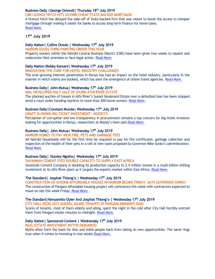#### **Business Daily |George Omondi| Thursday 18th July 2019 CBK LICENCE HITCH HITS SH35BN CHEAP STATE-BACKED MORTGAGE**

A licence hitch has delayed the take-off of State-backed firm that was meant to boost the access to cheaper mortgage through making it easier for banks to access long-term finance for home loans. [Read More.](https://www.businessdailyafrica.com/economy/CBK-licence-hitch-hits-Sh35bn-kmrc/3946234-5201688-pojgw6z/index.html)

#### **17th July 2019**

#### **Daily Nation| Collins Omulo | Wednesday 17th July 2019**

**NAIROBI ISSUES THIRD PAINTING ORDER THIS YEAR**

Property owners within the Nairobi Central Business District (CBD) have been given two weeks to repaint and redecorate their premises or face legal action. [Read More.](https://www.nation.co.ke/counties/nairobi/City-issues-third-painting-order-this-year/1954174-5200024-eu9xxnz/index.html)

#### **Daily Nation|Bobby Kamani| Wednesday 17th July 2019**

#### **INNOVATION THE CURE FOR HOTEL INDUSTRY CHALLENGES**

The ever-growing internet penetration in Kenya has had an impact on the hotel industry, particularly in the manner in which rooms are booked, which has seen the emergence of online travel agencies[. Read More.](https://www.nation.co.ke/oped/opinion/Innovation-the-cure-for-hotel-industry-challenges/440808-5199958-a0423wz/index.html)

#### **Business Daily| John Mutua| Wednesday 17th July 2019**

**I&M, DEVELOPER HALT SALE OF SH2BN ATHI RIVER ESTATE**

The planned auction of houses in Athi River's Sunset Boulevard Estate over a defaulted loan has been stopped amid a court order handing reprieve to more than 200 home owners[. Read More.](https://www.businessdailyafrica.com/corporate/companies/I-M-developer-halt-sale-of-Sh2bn-Athi-River-Estate/4003102-5200036-6782wy/index.html)

#### **Business Daily|Constant Munda| Wednesday 17th July 2019**

#### **GRAFT SLOWING BIG-TICKET INVESTMENT - MOODY'S**

Perception of corruption and low transparency in procurement remains a top concern for big-ticket investors looking for opportunities in Kenya, researchers at Moody's have said.[Read More.](https://www.businessdailyafrica.com/markets/marketnews/Graft-slowing-big-ticket-investment/3815534-5199924-t7nlwyz/index.html)

#### **Business Daily| John Mutua| Wednesday 17th July 2019**

**NAIROBI HOMES TO PAY NEW FIRE, PETS AND GARBAGE FEES**

All Nairobi households will for the first time be required to pay for fire certificates, garbage collection and inspection of the health of their pets in a raft of new taxes proposed by Governor Mike Sonko's administration. [Read More.](https://www.businessdailyafrica.com/news/Nairobi-homes-to-pay-new-fire--pets-and-garbage-fees/539546-5199164-cqj3aj/index.html)

#### **Business Daily| Stanley Ngotho| Wednesday 17th July 2019**

#### **SAVANNAH CEMENT EYES DOUBLE CAPACITY TO SUPPLY EAST AFRICA**

Savannah Cement Company is doubling its production capacity to 2.4 million tonnes in a multi-billion shilling investment at its Athi River plant as it targets the exports market within East Africa[. Read More.](https://www.businessdailyafrica.com/news/counties/Savannah-Cement-eyes-double-capacity/4003142-5199892-e0rmeiz/index.html)

#### **The Standard| Josphat Thiong'o | Wednesday 17th July 2019**

**CONSTRUCTION OF SH300B AFFORDABLE HOUSES IN NAIROBI BEGINS FRIDAY, SAYS GOVERNOR SONKO** The construction of Pangani affordable housing project will commence this week with contractors expected to move on site this week Friday. [Read More.](https://www.standardmedia.co.ke/business/article/2001334245/construction-of-sh300b-affordable-houses-in-nairobi-begins-friday)

#### **The Standard|Kenyanitto Oyier And Josphat Thiong'o | Wednesday 17th July 2019**

**CITY HALL KICKS OUT AGEING, AILING TENANTS IN PANGANI MIDNIGHT RAID**

Scores of tenants, most of them elderly and ailing, spent the night in the cold after City Hall forcibly evicted them from Pangani estate minutes to midnight[. Read More.](https://www.standardmedia.co.ke/business/article/2001334170/city-hall-kicks-out-ageing-ailing-tenants-in-pangani-midnight-raid)

#### **Daily Nation| Sponsored Content | Wednesday 17th July 2019**

**REAL ESTATE INVESTMENT MYTHS DEBUNKED**

Myths often form the basis for fear and holds people back from taking on new opportunities. The same rings true when it comes to investing in real estate[.Read More.](https://www.nation.co.ke/brandbook/Real-estate-investment-myths-debunked/3488912-5197588-5kgk7a/index.html)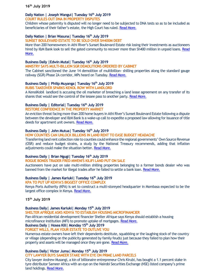#### **16th July 2019**

#### **Daily Nation | Joseph Wangui| Tuesday 16th July 2019 COURT RULES OUT DNA IN PROPERTY DISPUTES**

Children whose paternity is disputed will no longer need to be subjected to DNA tests so as to be included as beneficiaries of their father's estate, the High Court has ruled. [Read More.](https://www.nation.co.ke/news/Court-rules-out-DNA-in-property-disputes/1056-5197334-as3enr/index.html)

#### **Daily Nation | Brian Wasuna| Tuesday 16th July 2019**

#### **SUNSET BOULEVARD ESTATE TO BE SOLD OVER SH400M DEBT**

More than 200 homeowners in Athi River's Sunset Boulevard Estate risk losing their investments as auctioneers hired by I&M Bank look to sell the gated community to recover more than Sh400 million in unpaid loans. Read [More.](https://www.nation.co.ke/news/Sunset-Boulevard-Estate-to-be-sold-over-Sh400m-debt/1056-5197422-rwiksdz/index.html)

#### **Business Daily |Edwin Mutai| Tuesday 16th July 2019**

**MINISTRY SAYS MULTI-BILLION SGR DEMOLITIONS ORDERED BY CABINET**

The Cabinet sanctioned the June 14 demolition of multibillion- shilling properties along the standard gauge railway (SGR) Phase 2A corridor, MPs heard on Tuesday[. Read More.](https://www.businessdailyafrica.com/economy/SGR-demolitions-ordered-Cabinet/3946234-5198808-12schcyz/index.html)

#### **Business Daily | Philip Muyanga| Tuesday 16th July 2019 RUBIS TAKEOVER SPARKS KENOL ROW WITH LANDLORD**

A KenolKobil landlord is accusing the oil marketer of breaching a land lease agreement on any transfer of its shares that would see the control of the lessee pass to another party[. Read More.](https://www.businessdailyafrica.com/corporate/companies/Rubis-takeover-sparks-Kenol-row-with-landlord/4003102-5198712-mygmcoz/index.html)

#### **Business Daily | Editorial| Tuesday 16th July 2019**

#### **RESTORE CONFIDENCE IN THE PROPERTY MARKET**

An eviction threat facing more than 200 home buyers in Athi River's Sunset Boulevard Estate following a dispute between the developer and I&M Bank is a wake-up call to expedite a proposed law allowing for issuance of title deeds for apartment unit owners[. Read More.](https://www.businessdailyafrica.com/analysis/editorials/Restore-confidence-in-the-property-market/4259378-5198634-6b1ijn/index.html)

#### **Business Daily | John Mutua| Tuesday 16th July 2019**

#### **HOW COUNTIES CAN UNLOCK BILLIONS IN LAND RENT TO EASE BUDGET HEADACHE**

Transferring land rent collection role to counties could enhance the regional governments' Own Source Revenue (OSR) and reduce budget strains, a study by the National Treasury recommends, adding that inflation adjustments could make the situation better[. Read More.](https://www.businessdailyafrica.com/datahub/How-counties-can-unlock-billions-in-land-rent/3815418-5197810-nao77y/index.html)

#### **Business Daily | Brian Ngugi| Tuesday 16th July 2019**

#### **ROGUE BONDS TRADER FRED MWENI'S KILIFI LAND PUT ON SALE**

Auctioneers have put on sale multi-million shilling properties belonging to a former bonds dealer who was banned from the market for illegal trades after he failed to settle a bank loan[. Read More.](https://www.businessdailyafrica.com/markets/marketnews/Rogue-bonds-trader-Fred-Mweni-s-Kilifi-land-put-on-sale/3815534-5197766-yskdvez/index.html)

#### **Business Daily | James Kariuki| Tuesday 16th July 2019**

#### **KPA TO PUT UP KENYA'S BIGGEST OFFICE COMPLEX**

Kenya Ports Authority (KPA) is set to construct a multi-storeyed headquarter in Mombasa expected to be the largest office complex in Kenya. [Read More.](https://www.businessdailyafrica.com/markets/marketnews/KPA-to-put-up-Kenya-s-biggest-office-complex/3815534-5198566-28h7e0/index.html)

**15th July 2019**

#### **Business Daily| James Kariuki| Monday 15 th July 2019**

**SHELTER AFRIQUE ASKS KENYA TO ESTABLISH HOUSING MICROFINANCIER**

Pan-African residential development financier Shelter Afrique says Kenya should establish a housing microfinance institution (MFI) to promote uptake of mortgages[. Read More.](https://www.businessdailyafrica.com/markets/marketnews/Shelter-Afrique-asks-Kenya-to-establish-housing/3815534-5197018-m1feo5z/index.html)

#### **Business Daily | Hosea Kili| Monday 15th July 2019**

#### **FORGET WILLS, PLAN YOUR ESTATE TO OUTLIVE YOU**

Numerous estate owners have left their dependents destitute, squabbling or the laughing stock of the country or village (depending on the publicity generated by family feuds) just because they failed to plan how their property and assets will be managed once they are gone. [Read More.](https://www.businessdailyafrica.com/lifestyle/pfinance/plan-your-estate-to-outlive-you/4258410-5196978-76seo8/index.html)

#### **Business Daily| Victor Juma| Monday 15th July 2019**

**CITY LAWYER BUYS SAMEER STAKE WITH EYE ON PRIME LAND PARCELS**

City lawyer Andrew Musangi, a kin of billionaire entrepreneur Chris Kirubi, has bought a 1.1 percent stake in tyre distributor Sameer Africa with an eye on the Nairobi Securities Exchange (NSE) listed company's prime land holdings[. Read More.](https://www.businessdailyafrica.com/news/City-lawyer-buys-Sameer-stake-with-eye-on-prime-land-parcels/539546-5196522-ki24itz/index.html)